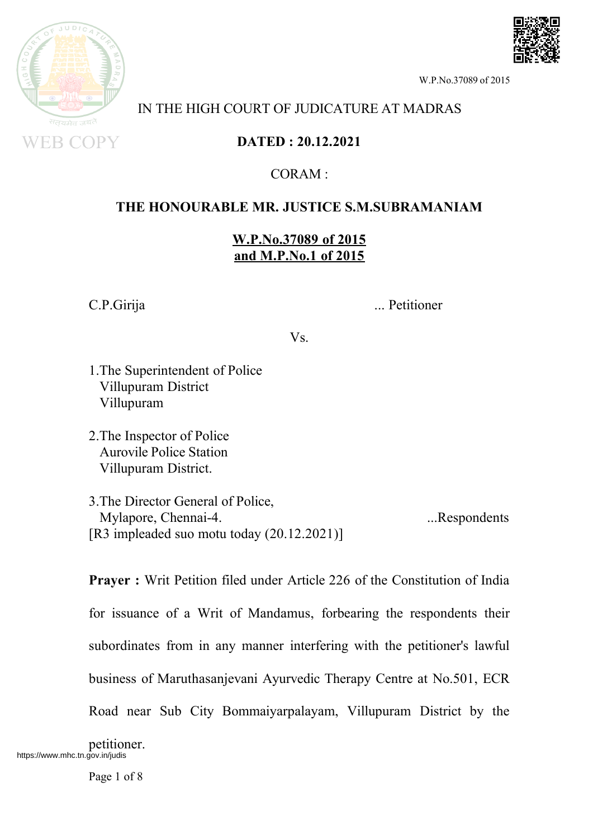

#### IN THE HIGH COURT OF JUDICATURE AT MADRAS

**DATED : 20.12.2021**

 $CORAM$ .

### **THE HONOURABLE MR. JUSTICE S.M.SUBRAMANIAM**

**W.P.No.37089 of 2015 and M.P.No.1 of 2015**

C.P.Girija ... Petitioner

Vs.

- 1.The Superintendent of Police Villupuram District Villupuram
- 2.The Inspector of Police Aurovile Police Station Villupuram District.

3.The Director General of Police, Mylapore, Chennai-4. ...Respondents [R3 impleaded suo motu today (20.12.2021)]

**Prayer :** Writ Petition filed under Article 226 of the Constitution of India for issuance of a Writ of Mandamus, forbearing the respondents their subordinates from in any manner interfering with the petitioner's lawful business of Maruthasanjevani Ayurvedic Therapy Centre at No.501, ECR Road near Sub City Bommaiyarpalayam, Villupuram District by the

petitioner. https://www.mhc.tn.gov.in/judis

Page 1 of 8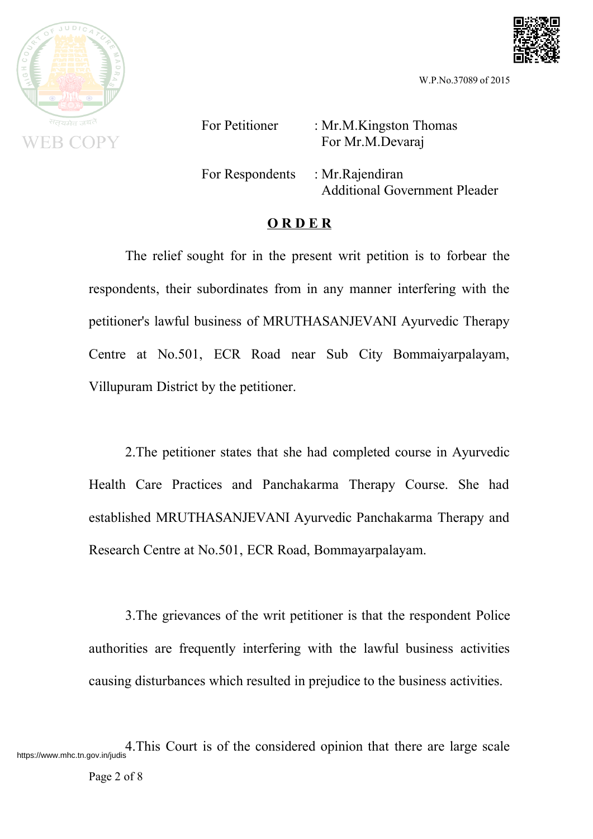



For Petitioner : Mr.M.Kingston Thomas For Mr.M.Devaraj

For Respondents : Mr.Rajendiran

Additional Government Pleader

#### **O R D E R**

The relief sought for in the present writ petition is to forbear the respondents, their subordinates from in any manner interfering with the petitioner's lawful business of MRUTHASANJEVANI Ayurvedic Therapy Centre at No.501, ECR Road near Sub City Bommaiyarpalayam, Villupuram District by the petitioner.

2.The petitioner states that she had completed course in Ayurvedic Health Care Practices and Panchakarma Therapy Course. She had established MRUTHASANJEVANI Ayurvedic Panchakarma Therapy and Research Centre at No.501, ECR Road, Bommayarpalayam.

3.The grievances of the writ petitioner is that the respondent Police authorities are frequently interfering with the lawful business activities causing disturbances which resulted in prejudice to the business activities.

https://www.mhc.tn.gov.in/judis 4.This Court is of the considered opinion that there are large scale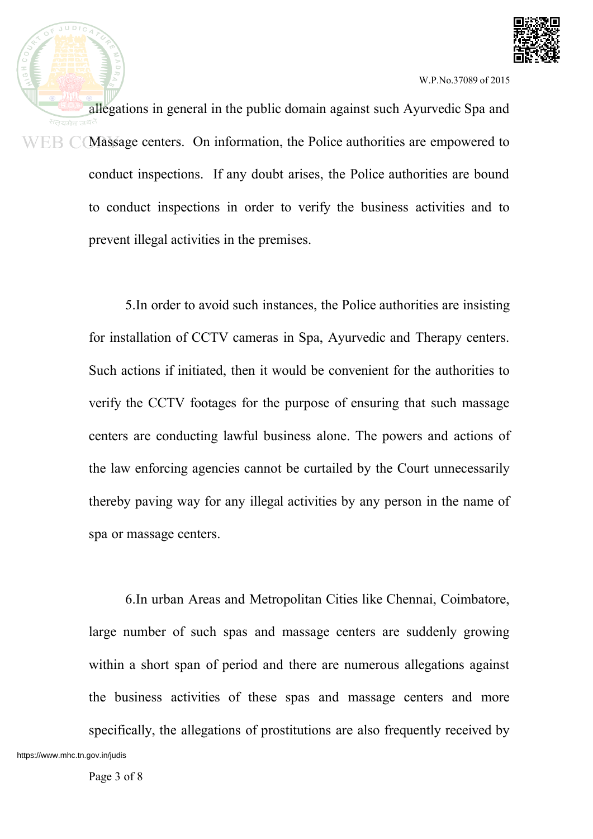

allegations in general in the public domain against such Ayurvedic Spa and  $WEB$   $\mathbb{C}$  (Massage centers. On information, the Police authorities are empowered to conduct inspections. If any doubt arises, the Police authorities are bound to conduct inspections in order to verify the business activities and to prevent illegal activities in the premises.

> 5.In order to avoid such instances, the Police authorities are insisting for installation of CCTV cameras in Spa, Ayurvedic and Therapy centers. Such actions if initiated, then it would be convenient for the authorities to verify the CCTV footages for the purpose of ensuring that such massage centers are conducting lawful business alone. The powers and actions of the law enforcing agencies cannot be curtailed by the Court unnecessarily thereby paving way for any illegal activities by any person in the name of spa or massage centers.

6.In urban Areas and Metropolitan Cities like Chennai, Coimbatore, large number of such spas and massage centers are suddenly growing within a short span of period and there are numerous allegations against the business activities of these spas and massage centers and more specifically, the allegations of prostitutions are also frequently received by https://www.mhc.tn.gov.in/judis

 $JUDIC$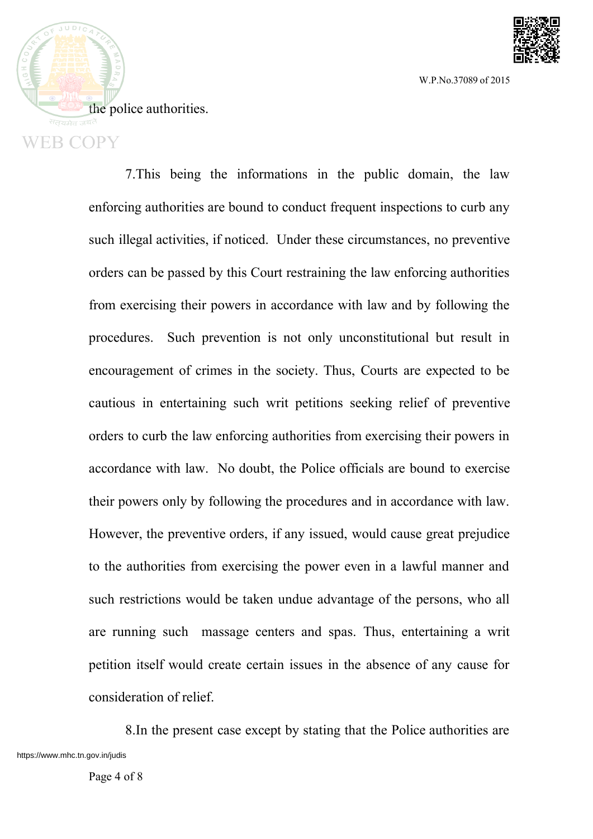

 $JUDIC$ the police authorities. **WEB COPY** 

> 7.This being the informations in the public domain, the law enforcing authorities are bound to conduct frequent inspections to curb any such illegal activities, if noticed. Under these circumstances, no preventive orders can be passed by this Court restraining the law enforcing authorities from exercising their powers in accordance with law and by following the procedures. Such prevention is not only unconstitutional but result in encouragement of crimes in the society. Thus, Courts are expected to be cautious in entertaining such writ petitions seeking relief of preventive orders to curb the law enforcing authorities from exercising their powers in accordance with law. No doubt, the Police officials are bound to exercise their powers only by following the procedures and in accordance with law. However, the preventive orders, if any issued, would cause great prejudice to the authorities from exercising the power even in a lawful manner and such restrictions would be taken undue advantage of the persons, who all are running such massage centers and spas. Thus, entertaining a writ petition itself would create certain issues in the absence of any cause for consideration of relief.

8.In the present case except by stating that the Police authorities are https://www.mhc.tn.gov.in/judis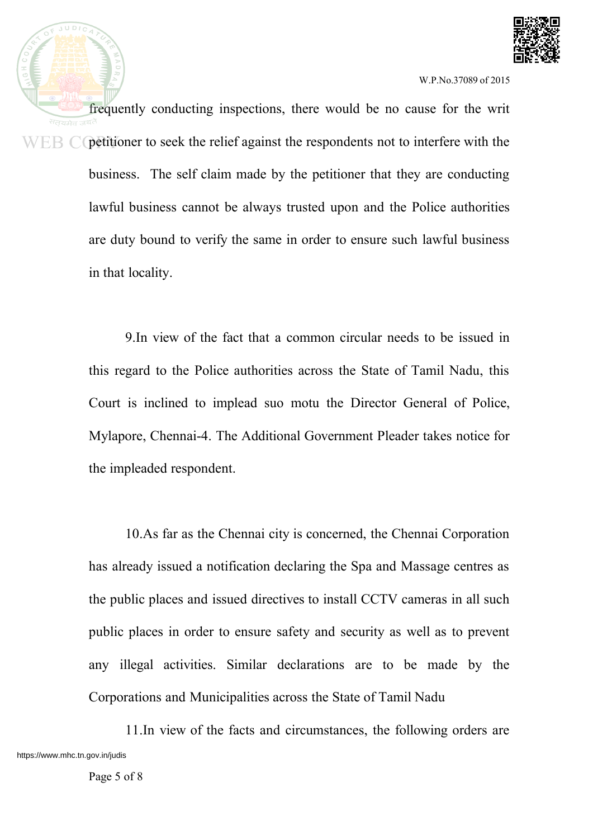

frequently conducting inspections, there would be no cause for the writ  $WEB$  C petitioner to seek the relief against the respondents not to interfere with the business. The self claim made by the petitioner that they are conducting lawful business cannot be always trusted upon and the Police authorities are duty bound to verify the same in order to ensure such lawful business in that locality.

> 9.In view of the fact that a common circular needs to be issued in this regard to the Police authorities across the State of Tamil Nadu, this Court is inclined to implead suo motu the Director General of Police, Mylapore, Chennai-4. The Additional Government Pleader takes notice for the impleaded respondent.

> 10.As far as the Chennai city is concerned, the Chennai Corporation has already issued a notification declaring the Spa and Massage centres as the public places and issued directives to install CCTV cameras in all such public places in order to ensure safety and security as well as to prevent any illegal activities. Similar declarations are to be made by the Corporations and Municipalities across the State of Tamil Nadu

11.In view of the facts and circumstances, the following orders are https://www.mhc.tn.gov.in/judis

 $JUDIC$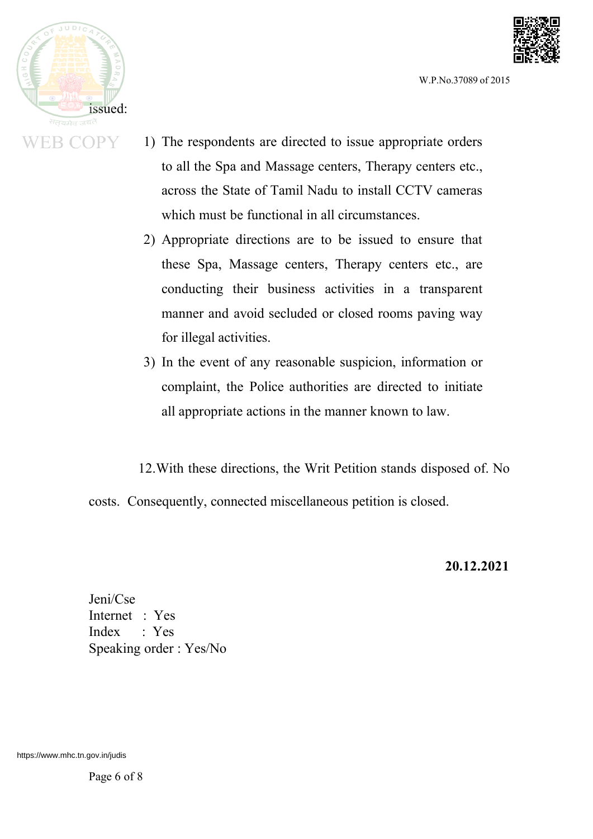



- 1) The respondents are directed to issue appropriate orders to all the Spa and Massage centers, Therapy centers etc., across the State of Tamil Nadu to install CCTV cameras which must be functional in all circumstances.
- 2) Appropriate directions are to be issued to ensure that these Spa, Massage centers, Therapy centers etc., are conducting their business activities in a transparent manner and avoid secluded or closed rooms paving way for illegal activities.
- 3) In the event of any reasonable suspicion, information or complaint, the Police authorities are directed to initiate all appropriate actions in the manner known to law.
- 12.With these directions, the Writ Petition stands disposed of. No

costs. Consequently, connected miscellaneous petition is closed.

**20.12.2021**

Jeni/Cse Internet : Yes Index : Yes Speaking order : Yes/No

https://www.mhc.tn.gov.in/judis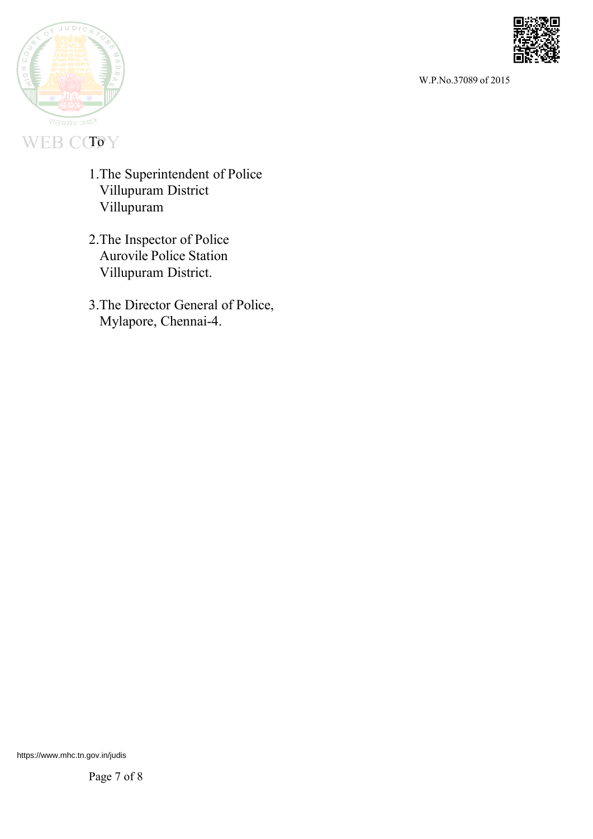



# WEB CCTOY

- 1.The Superintendent of Police Villupuram District Villupuram
- 2.The Inspector of Police Aurovile Police Station Villupuram District.
- 3.The Director General of Police, Mylapore, Chennai-4.